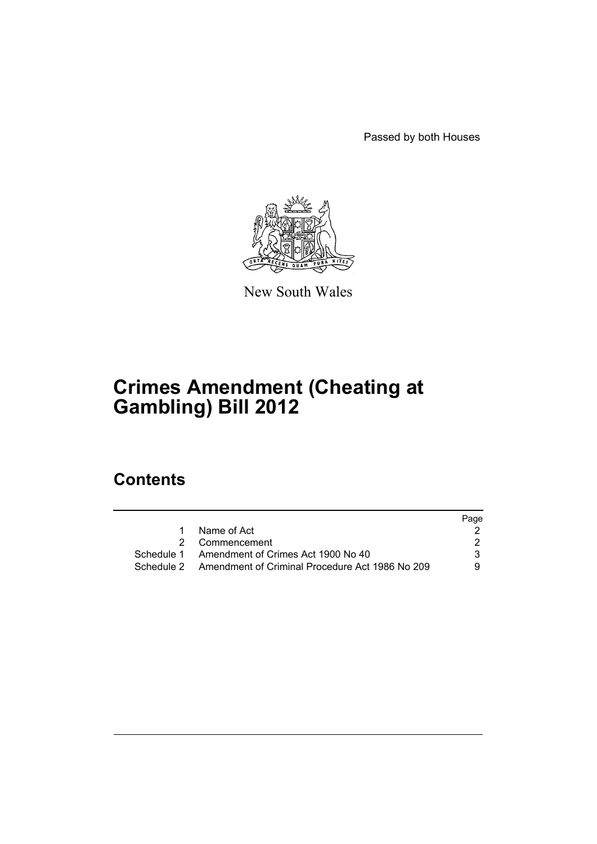Passed by both Houses



New South Wales

# **Crimes Amendment (Cheating at Gambling) Bill 2012**

# **Contents**

|    |                                                            | Page |
|----|------------------------------------------------------------|------|
| 1. | Name of Act                                                |      |
|    | 2 Commencement                                             |      |
|    | Schedule 1 Amendment of Crimes Act 1900 No 40              | 3.   |
|    | Schedule 2 Amendment of Criminal Procedure Act 1986 No 209 | 9.   |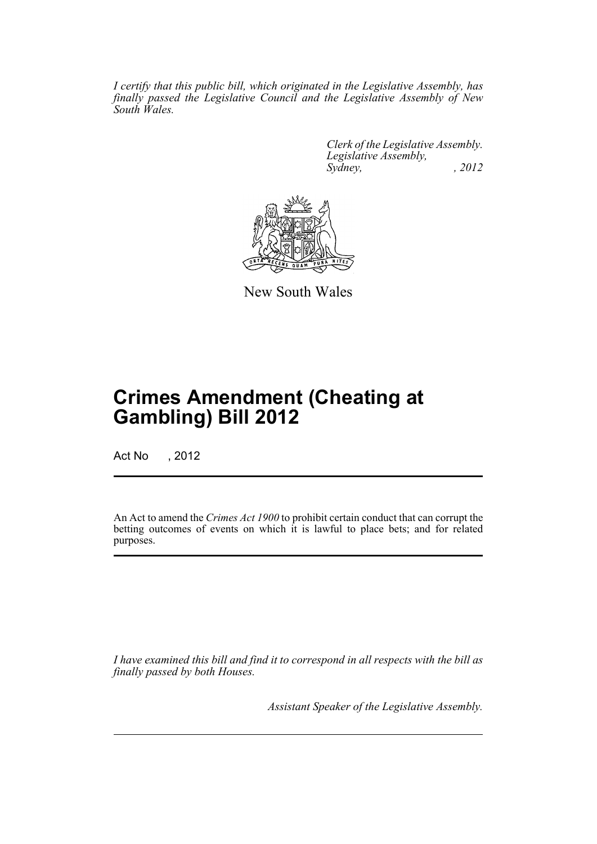*I certify that this public bill, which originated in the Legislative Assembly, has finally passed the Legislative Council and the Legislative Assembly of New South Wales.*

> *Clerk of the Legislative Assembly. Legislative Assembly, Sydney, , 2012*



New South Wales

# **Crimes Amendment (Cheating at Gambling) Bill 2012**

Act No , 2012

An Act to amend the *Crimes Act 1900* to prohibit certain conduct that can corrupt the betting outcomes of events on which it is lawful to place bets; and for related purposes.

*I have examined this bill and find it to correspond in all respects with the bill as finally passed by both Houses.*

*Assistant Speaker of the Legislative Assembly.*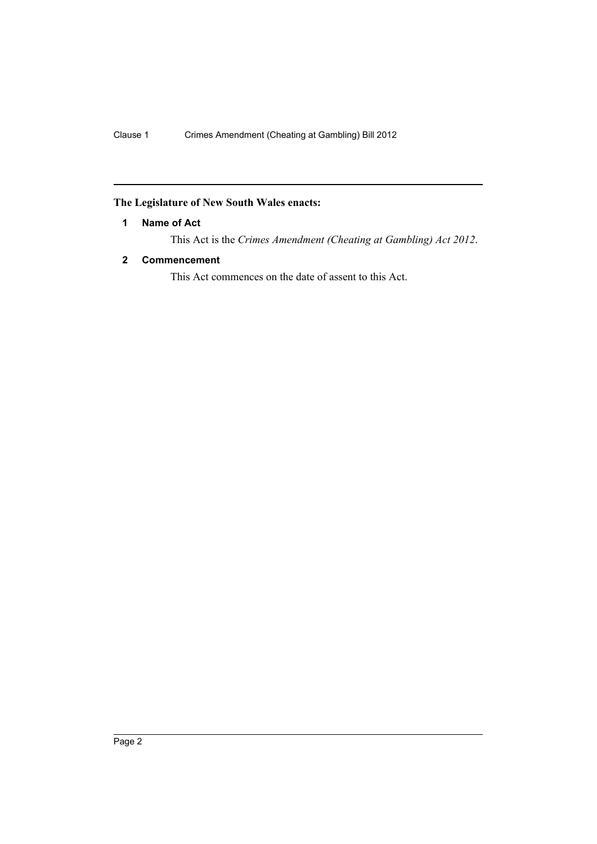## <span id="page-3-0"></span>**The Legislature of New South Wales enacts:**

## **1 Name of Act**

This Act is the *Crimes Amendment (Cheating at Gambling) Act 2012*.

## <span id="page-3-1"></span>**2 Commencement**

This Act commences on the date of assent to this Act.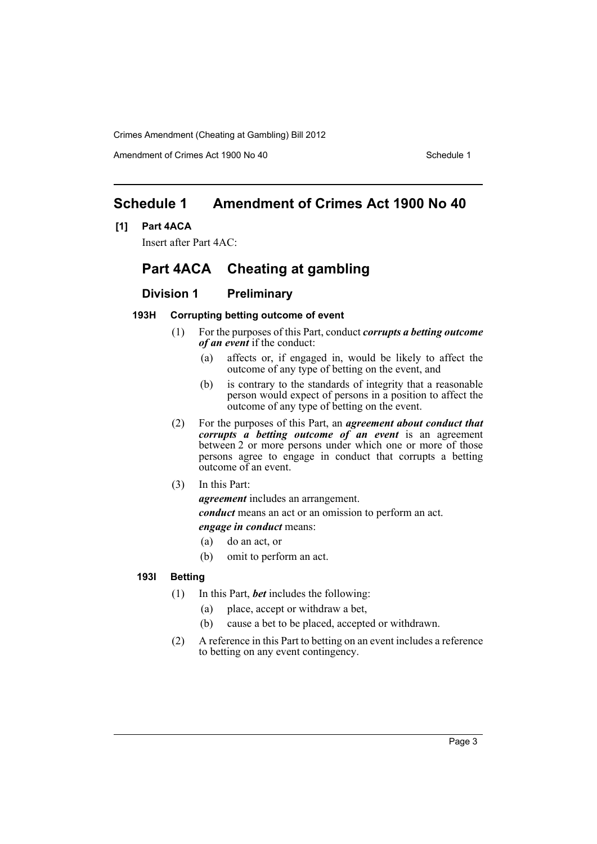Amendment of Crimes Act 1900 No 40 Schedule 1

# <span id="page-4-0"></span>**Schedule 1 Amendment of Crimes Act 1900 No 40**

### **[1] Part 4ACA**

Insert after Part 4AC:

# **Part 4ACA Cheating at gambling**

## **Division 1 Preliminary**

#### **193H Corrupting betting outcome of event**

- (1) For the purposes of this Part, conduct *corrupts a betting outcome of an event* if the conduct:
	- (a) affects or, if engaged in, would be likely to affect the outcome of any type of betting on the event, and
	- (b) is contrary to the standards of integrity that a reasonable person would expect of persons in a position to affect the outcome of any type of betting on the event.
- (2) For the purposes of this Part, an *agreement about conduct that corrupts a betting outcome of an event* is an agreement between 2 or more persons under which one or more of those persons agree to engage in conduct that corrupts a betting outcome of an event.
- (3) In this Part:

*agreement* includes an arrangement.

*conduct* means an act or an omission to perform an act. *engage in conduct* means:

- (a) do an act, or
- (b) omit to perform an act.

### **193I Betting**

- (1) In this Part, *bet* includes the following:
	- (a) place, accept or withdraw a bet,
	- (b) cause a bet to be placed, accepted or withdrawn.
- (2) A reference in this Part to betting on an event includes a reference to betting on any event contingency.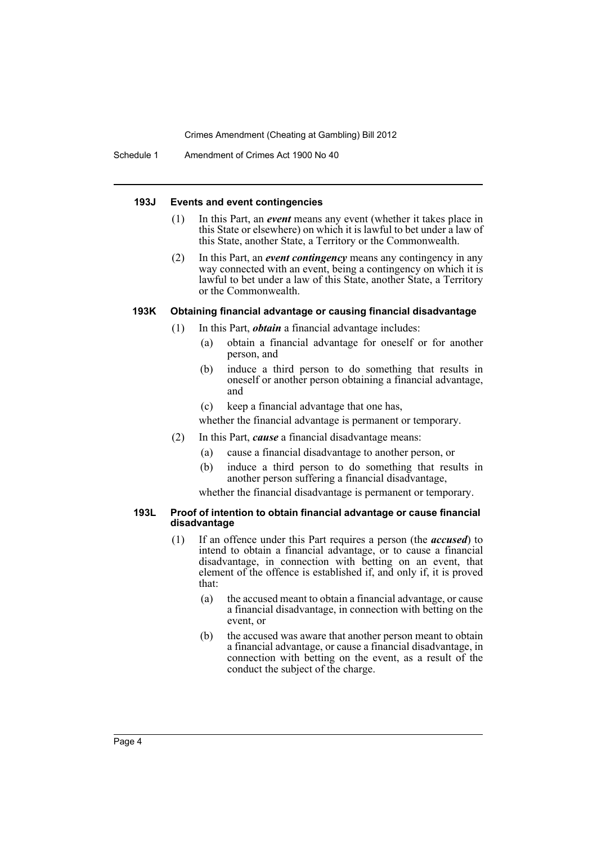Schedule 1 Amendment of Crimes Act 1900 No 40

#### **193J Events and event contingencies**

- (1) In this Part, an *event* means any event (whether it takes place in this State or elsewhere) on which it is lawful to bet under a law of this State, another State, a Territory or the Commonwealth.
- (2) In this Part, an *event contingency* means any contingency in any way connected with an event, being a contingency on which it is lawful to bet under a law of this State, another State, a Territory or the Commonwealth.

#### **193K Obtaining financial advantage or causing financial disadvantage**

- (1) In this Part, *obtain* a financial advantage includes:
	- (a) obtain a financial advantage for oneself or for another person, and
	- (b) induce a third person to do something that results in oneself or another person obtaining a financial advantage, and
	- (c) keep a financial advantage that one has,

whether the financial advantage is permanent or temporary.

- (2) In this Part, *cause* a financial disadvantage means:
	- (a) cause a financial disadvantage to another person, or
	- (b) induce a third person to do something that results in another person suffering a financial disadvantage,

whether the financial disadvantage is permanent or temporary.

#### **193L Proof of intention to obtain financial advantage or cause financial disadvantage**

- (1) If an offence under this Part requires a person (the *accused*) to intend to obtain a financial advantage, or to cause a financial disadvantage, in connection with betting on an event, that element of the offence is established if, and only if, it is proved that:
	- (a) the accused meant to obtain a financial advantage, or cause a financial disadvantage, in connection with betting on the event, or
	- (b) the accused was aware that another person meant to obtain a financial advantage, or cause a financial disadvantage, in connection with betting on the event, as a result of the conduct the subject of the charge.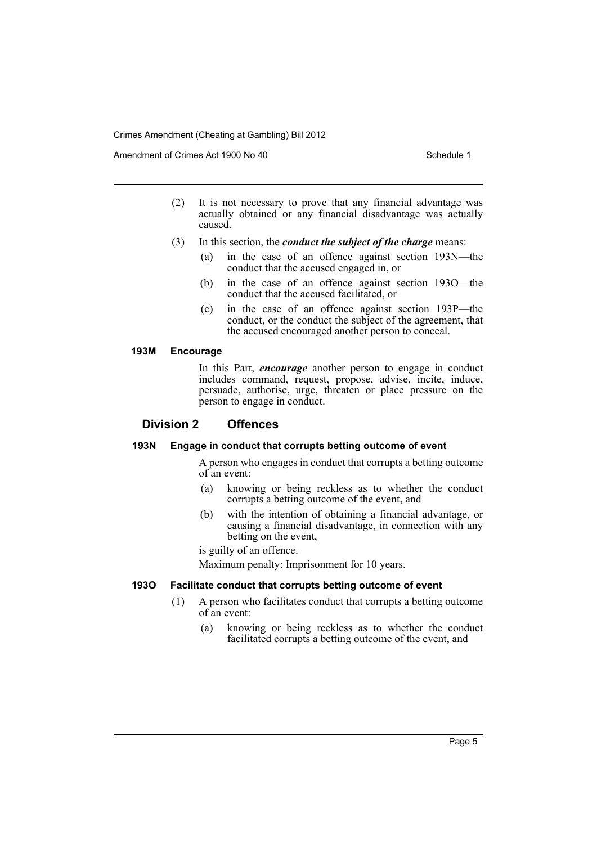Amendment of Crimes Act 1900 No 40 Schedule 1

- (2) It is not necessary to prove that any financial advantage was actually obtained or any financial disadvantage was actually caused.
- (3) In this section, the *conduct the subject of the charge* means:
	- (a) in the case of an offence against section 193N—the conduct that the accused engaged in, or
	- (b) in the case of an offence against section 193O—the conduct that the accused facilitated, or
	- (c) in the case of an offence against section 193P—the conduct, or the conduct the subject of the agreement, that the accused encouraged another person to conceal.

#### **193M Encourage**

In this Part, *encourage* another person to engage in conduct includes command, request, propose, advise, incite, induce, persuade, authorise, urge, threaten or place pressure on the person to engage in conduct.

## **Division 2 Offences**

#### **193N Engage in conduct that corrupts betting outcome of event**

A person who engages in conduct that corrupts a betting outcome of an event:

- (a) knowing or being reckless as to whether the conduct corrupts a betting outcome of the event, and
- (b) with the intention of obtaining a financial advantage, or causing a financial disadvantage, in connection with any betting on the event,

is guilty of an offence.

Maximum penalty: Imprisonment for 10 years.

#### **193O Facilitate conduct that corrupts betting outcome of event**

- (1) A person who facilitates conduct that corrupts a betting outcome of an event:
	- (a) knowing or being reckless as to whether the conduct facilitated corrupts a betting outcome of the event, and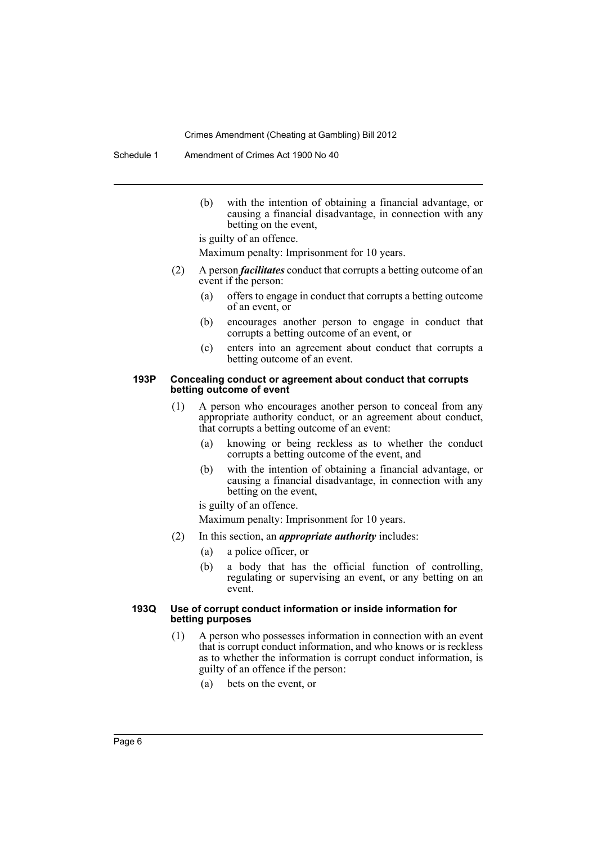Schedule 1 Amendment of Crimes Act 1900 No 40

(b) with the intention of obtaining a financial advantage, or causing a financial disadvantage, in connection with any betting on the event,

is guilty of an offence.

Maximum penalty: Imprisonment for 10 years.

- (2) A person *facilitates* conduct that corrupts a betting outcome of an event if the person:
	- (a) offers to engage in conduct that corrupts a betting outcome of an event, or
	- (b) encourages another person to engage in conduct that corrupts a betting outcome of an event, or
	- (c) enters into an agreement about conduct that corrupts a betting outcome of an event.

#### **193P Concealing conduct or agreement about conduct that corrupts betting outcome of event**

- (1) A person who encourages another person to conceal from any appropriate authority conduct, or an agreement about conduct, that corrupts a betting outcome of an event:
	- (a) knowing or being reckless as to whether the conduct corrupts a betting outcome of the event, and
	- (b) with the intention of obtaining a financial advantage, or causing a financial disadvantage, in connection with any betting on the event,

is guilty of an offence.

Maximum penalty: Imprisonment for 10 years.

- (2) In this section, an *appropriate authority* includes:
	- (a) a police officer, or
	- (b) a body that has the official function of controlling, regulating or supervising an event, or any betting on an event.

#### **193Q Use of corrupt conduct information or inside information for betting purposes**

- (1) A person who possesses information in connection with an event that is corrupt conduct information, and who knows or is reckless as to whether the information is corrupt conduct information, is guilty of an offence if the person:
	- (a) bets on the event, or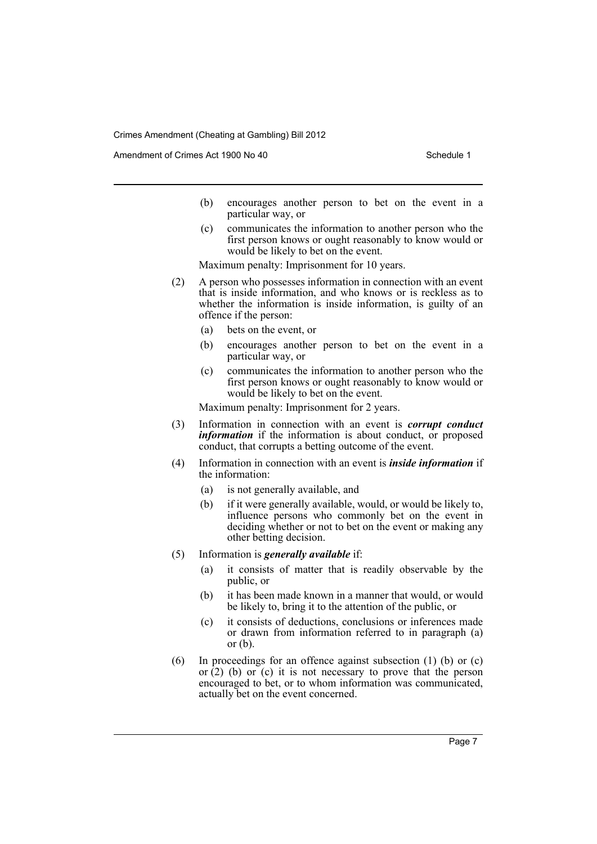Amendment of Crimes Act 1900 No 40 Schedule 1

- (b) encourages another person to bet on the event in a particular way, or
- (c) communicates the information to another person who the first person knows or ought reasonably to know would or would be likely to bet on the event.

Maximum penalty: Imprisonment for 10 years.

- (2) A person who possesses information in connection with an event that is inside information, and who knows or is reckless as to whether the information is inside information, is guilty of an offence if the person:
	- (a) bets on the event, or
	- (b) encourages another person to bet on the event in a particular way, or
	- (c) communicates the information to another person who the first person knows or ought reasonably to know would or would be likely to bet on the event.

Maximum penalty: Imprisonment for 2 years.

- (3) Information in connection with an event is *corrupt conduct information* if the information is about conduct, or proposed conduct, that corrupts a betting outcome of the event.
- (4) Information in connection with an event is *inside information* if the information:
	- (a) is not generally available, and
	- (b) if it were generally available, would, or would be likely to, influence persons who commonly bet on the event in deciding whether or not to bet on the event or making any other betting decision.
- (5) Information is *generally available* if:
	- (a) it consists of matter that is readily observable by the public, or
	- (b) it has been made known in a manner that would, or would be likely to, bring it to the attention of the public, or
	- (c) it consists of deductions, conclusions or inferences made or drawn from information referred to in paragraph (a) or  $(b)$ .
- (6) In proceedings for an offence against subsection (1) (b) or (c) or  $(2)$  (b) or  $(c)$  it is not necessary to prove that the person encouraged to bet, or to whom information was communicated, actually bet on the event concerned.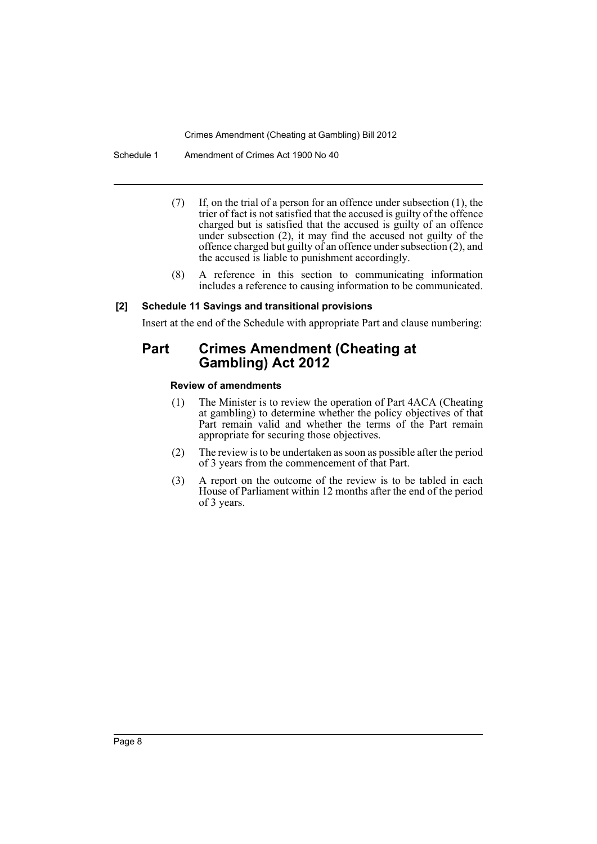Schedule 1 Amendment of Crimes Act 1900 No 40

- (7) If, on the trial of a person for an offence under subsection (1), the trier of fact is not satisfied that the accused is guilty of the offence charged but is satisfied that the accused is guilty of an offence under subsection (2), it may find the accused not guilty of the offence charged but guilty of an offence under subsection (2), and the accused is liable to punishment accordingly.
- (8) A reference in this section to communicating information includes a reference to causing information to be communicated.

#### **[2] Schedule 11 Savings and transitional provisions**

Insert at the end of the Schedule with appropriate Part and clause numbering:

# **Part Crimes Amendment (Cheating at Gambling) Act 2012**

#### **Review of amendments**

- (1) The Minister is to review the operation of Part 4ACA (Cheating at gambling) to determine whether the policy objectives of that Part remain valid and whether the terms of the Part remain appropriate for securing those objectives.
- (2) The review is to be undertaken as soon as possible after the period of 3 years from the commencement of that Part.
- (3) A report on the outcome of the review is to be tabled in each House of Parliament within 12 months after the end of the period of 3 years.